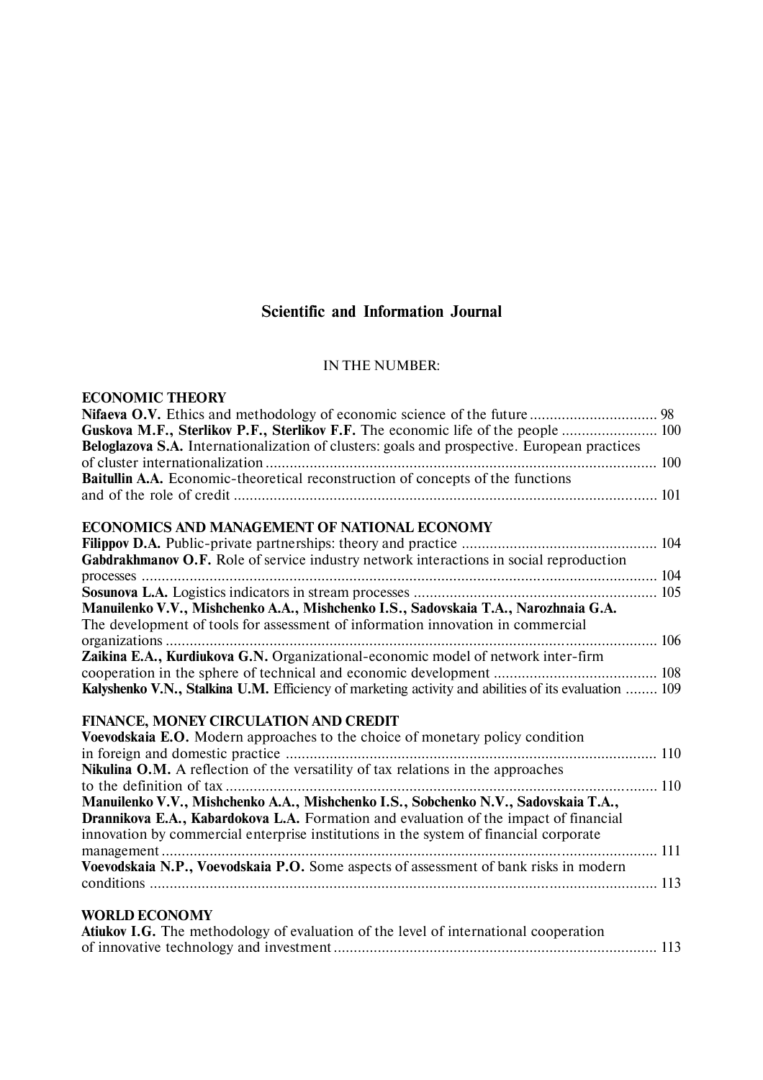# **Scientific and Information Journal**

#### IN THE NUMBER:

| <b>ECONOMIC THEORY</b>                                                                               |  |
|------------------------------------------------------------------------------------------------------|--|
|                                                                                                      |  |
| Guskova M.F., Sterlikov P.F., Sterlikov F.F. The economic life of the people  100                    |  |
| Beloglazova S.A. Internationalization of clusters: goals and prospective. European practices         |  |
|                                                                                                      |  |
| <b>Baitullin A.A.</b> Economic-theoretical reconstruction of concepts of the functions               |  |
|                                                                                                      |  |
| ECONOMICS AND MANAGEMENT OF NATIONAL ECONOMY                                                         |  |
|                                                                                                      |  |
| Gabdrakhmanov O.F. Role of service industry network interactions in social reproduction              |  |
|                                                                                                      |  |
|                                                                                                      |  |
| Manuilenko V.V., Mishchenko A.A., Mishchenko I.S., Sadovskaia T.A., Narozhnaia G.A.                  |  |
| The development of tools for assessment of information innovation in commercial                      |  |
|                                                                                                      |  |
| Zaikina E.A., Kurdiukova G.N. Organizational-economic model of network inter-firm                    |  |
|                                                                                                      |  |
| Kalyshenko V.N., Stalkina U.M. Efficiency of marketing activity and abilities of its evaluation  109 |  |
|                                                                                                      |  |
| FINANCE, MONEY CIRCULATION AND CREDIT                                                                |  |
| Voevodskaia E.O. Modern approaches to the choice of monetary policy condition                        |  |
|                                                                                                      |  |
| Nikulina O.M. A reflection of the versatility of tax relations in the approaches                     |  |
|                                                                                                      |  |
| Manuilenko V.V., Mishchenko A.A., Mishchenko I.S., Sobchenko N.V., Sadovskaia T.A.,                  |  |
| Drannikova E.A., Kabardokova L.A. Formation and evaluation of the impact of financial                |  |
| innovation by commercial enterprise institutions in the system of financial corporate                |  |
|                                                                                                      |  |
| Voevodskaia N.P., Voevodskaia P.O. Some aspects of assessment of bank risks in modern                |  |
|                                                                                                      |  |
|                                                                                                      |  |
| <b>WORLD ECONOMY</b>                                                                                 |  |
| <b>Atiukov I.G.</b> The methodology of evaluation of the level of international cooperation          |  |
|                                                                                                      |  |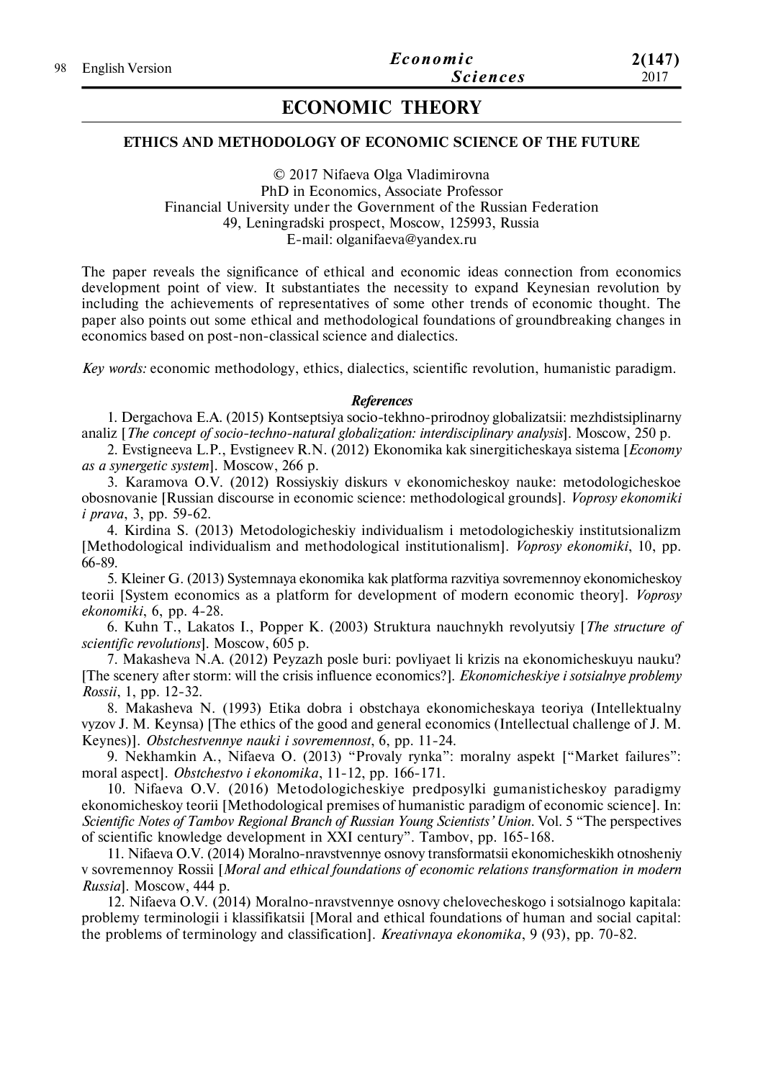# **ECONOMIC THEORY**

# **ETHICS AND METHODOLOGY OF ECONOMIC SCIENCE OF THE FUTURE**

© 2017 Nifaeva Olga Vladimirovna PhD in Economics, Associate Professor Financial University under the Government of the Russian Federation 49, Leningradski prospect, Moscow, 125993, Russia E-mail: olganifaeva@yandex.ru

The paper reveals the significance of ethical and economic ideas connection from economics development point of view. It substantiates the necessity to expand Keynesian revolution by including the achievements of representatives of some other trends of economic thought. The paper also points out some ethical and methodological foundations of groundbreaking changes in economics based on post-non-classical science and dialectics.

*Key words:* economic methodology, ethics, dialectics, scientific revolution, humanistic paradigm.

#### *References*

1. Dergachova E.A. (2015) Kontseptsiya socio-tekhno-prirodnoy globalizatsii: mezhdistsiplinarny analiz [*The concept of socio-techno-natural globalization: interdisciplinary analysis*]. Мoscow, 250 p.

2. Evstigneeva L.P., Evstigneev R.N. (2012) Ekonomika kak sinergiticheskaya sistema [*Economy as a synergetic system*]. Мoscow, 266 p.

3. Karamova O.V. (2012) Rossiyskiy diskurs v ekonomicheskoy nauke: metodologicheskoe obosnovanie [Russian discourse in economic science: methodological grounds]. *Voprosy ekonomiki i prava*, 3, pp. 59-62.

4. Kirdina S. (2013) Metodologicheskiy individualism i metodologicheskiy institutsionalizm [Methodological individualism and methodological institutionalism]. *Voprosy ekonomiki*, 10, pp. 66-89.

5. Kleiner G. (2013) Systemnaya ekonomika kak platforma razvitiya sovremennoy ekonomicheskoy teorii [System economics as a platform for development of modern economic theory]. *Voprosy ekonomiki*, 6, pp. 4-28.

6. Kuhn T., Lakatos I., Popper K. (2003) Struktura nauchnykh revolyutsiy [*The structure of scientific revolutions*]. Мoscow, 605 p.

7. Makasheva N.A. (2012) Peyzazh posle buri: povliyaet li krizis na ekonomicheskuyu nauku? [The scenery after storm: will the crisis influence economics?]. *Ekonomicheskiye i sotsialnye problemy Rossii*, 1, pp. 12-32.

8. Makasheva N. (1993) Etika dobra i obstchaya ekonomicheskaya teoriya (Intellektualny vyzov J. M. Keynsa) [The ethics of the good and general economics (Intellectual challenge of J. M. Keynes)]. *Obstchestvennye nauki i sovremennost*, 6, рр. 11-24.

9. Nekhamkin A., Nifaeva O. (2013) "Provaly rynka": moralny aspekt ["Market failures": moral aspect]. *Obstchestvo i ekonomika*, 11-12, рр. 166-171.

10. Nifaeva O.V. (2016) Metodologicheskiye predposylki gumanisticheskoy paradigmy ekonomicheskoy teorii [Methodological premises of humanistic paradigm of economic science]. In: *Scientific Notes of Tambov Regional Branch of Russian Young Scientists' Union*. Vol. 5 "The perspectives of scientific knowledge development in XXI century". Tambov, pp. 165-168.

11. Nifaeva O.V. (2014) Moralno-nravstvennye osnovy transformatsii ekonomicheskikh otnosheniy v sovremennoy Rossii [*Moral and ethical foundations of economic relations transformation in modern Russia*]. Мoscow, 444 p.

12. Nifaeva O.V. (2014) Moralno-nravstvennye osnovy chelovecheskogo i sotsialnogo kapitala: problemy terminologii i klassifikatsii [Moral and ethical foundations of human and social capital: the problems of terminology and classification]. *Kreativnaya ekonomika*, 9 (93), pp. 70-82.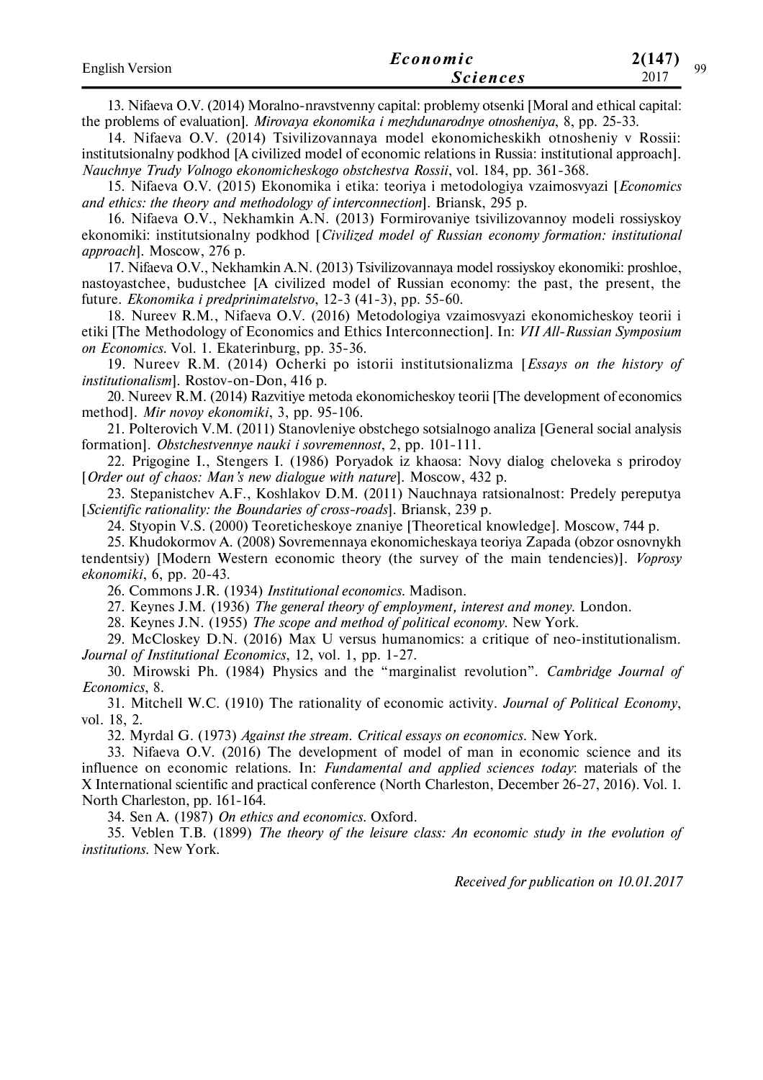| <b>English Version</b> | Economic        | 27147<br>Q۵ |
|------------------------|-----------------|-------------|
|                        | <i>Sciences</i> | 2017        |

13. Nifaeva O.V. (2014) Moralno-nravstvenny capital: problemy otsenki [Moral and ethical capital: the problems of evaluation]. *Mirovaya ekonomika i mezhdunarodnye otnosheniya*, 8, pp. 25-33.

14. Nifaeva O.V. (2014) Tsivilizovannaya model ekonomicheskikh otnosheniy v Rossii: institutsionalny podkhod [A civilized model of economic relations in Russia: institutional approach]. *Nauchnye Trudy Volnogo ekonomicheskogo obstchestva Rossii*, vol. 184, pp. 361-368.

15. Nifaeva O.V. (2015) Ekonomika i etika: teoriya i metodologiya vzaimosvyazi [*Economics and ethics: the theory and methodology of interconnection*]. Briansk, 295 p.

16. Nifaeva O.V., Nekhamkin A.N. (2013) Formirovaniye tsivilizovannoy modeli rossiyskoy ekonomiki: institutsionalny podkhod [*Civilized model of Russian economy formation: institutional approach*]. Moscow, 276 p.

17. Nifaeva O.V., Nekhamkin A.N. (2013) Tsivilizovannaya model rossiyskoy ekonomiki: proshloe, nastoyastchee, budustchee [A civilized model of Russian economy: the past, the present, the future. *Ekonomika i predprinimatelstvo*, 12-3 (41-3), pp. 55-60.

18. Nureev R.M., Nifaeva O.V. (2016) Metodologiya vzaimosvyazi ekonomicheskoy teorii i etiki [The Methodology of Economics and Ethics Interconnection]. In: *VII All-Russian Symposium on Economics*. Vol. 1. Ekaterinburg, pp. 35-36.

19. Nureev R.M. (2014) Ocherki po istorii institutsionalizma [*Essays on the history of institutionalism*]. Rostov-on-Don, 416 p.

20. Nureev R.M. (2014) Razvitiye metoda ekonomicheskoy teorii [The development of economics method]. *Mir novoy ekonomiki*, 3, pp. 95-106.

21. Polterovich V.M. (2011) Stanovleniye obstchego sotsialnogo analiza [General social analysis formation]. *Obstchestvennye nauki i sovremennost*, 2, pp. 101-111.

22. Prigogine I., Stengers I. (1986) Poryadok iz khaosa: Novy dialog cheloveka s prirodoy [*Order out of chaos: Man's new dialogue with nature*]. Мoscow, 432 p.

23. Stepanistchev A.F., Koshlakov D.M. (2011) Nauchnaya ratsionalnost: Predely pereputya [*Scientific rationality: the Boundaries of cross-roads*]. Briansk, 239 p.

24. Styopin V.S. (2000) Teoreticheskoye znaniye [Theoretical knowledge]. Moscow, 744 p.

25. Khudokormov A. (2008) Sovremennaya ekonomicheskaya teoriya Zapada (obzor osnovnykh tendentsiy) [Modern Western economic theory (the survey of the main tendencies)]. *Voprosy ekonomiki*, 6, pp. 20-43.

26. Commons J.R. (1934) *Institutional economics*. Madison.

27. Keynes J.M. (1936) *The general theory of employment, interest and money*. London.

28. Keynes J.N. (1955) *The scope and method of political economy*. New York.

29. McCloskey D.N. (2016) Max U versus humanomics: a critique of neo-institutionalism. *Journal of Institutional Economics*, 12, vol. 1, pp. 1-27.

30. Mirowski Ph. (1984) Physics and the "marginalist revolution". *Cambridge Journal of Economics*, 8.

31. Mitchell W.C. (1910) The rationality of economic activity. *Journal of Political Economy*, vol. 18, 2.

32. Myrdal G. (1973) *Against the stream. Critical essays on economics*. New York.

33. Nifaeva O.V. (2016) The development of model of man in economic science and its influence on economic relations. In: *Fundamental and applied sciences today*: materials of the X International scientific and practical conference (North Charleston, December 26-27, 2016). Vol. 1. North Charleston, pp. 161-164.

34. Sen A. (1987) *On ethics and economics*. Oxford.

35. Veblen T.B. (1899) *The theory of the leisure class: An economic study in the evolution of institutions*. New York.

*Received for publication on 10.01.2017*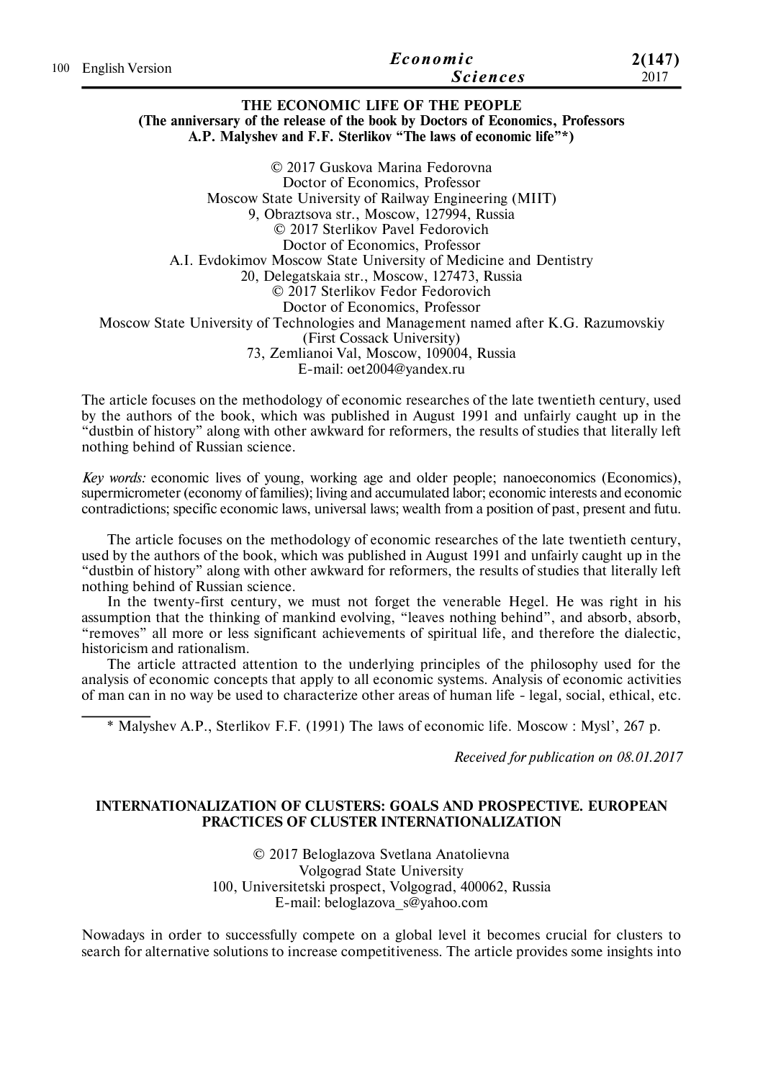|                     | Economic        | 2(147) |
|---------------------|-----------------|--------|
| 100 English Version | <i>Sciences</i> | 2017   |

#### **THE ECONOMIC LIFE OF THE PEOPLE (The anniversary of the release of the book by Doctors of Economics, Professors A.P. Malyshev and F.F. Sterlikov "The laws of economic life"\*)**

© 2017 Guskova Marina Fedorovna Doctor of Economics, Professor Moscow State University of Railway Engineering (MIIT) 9, Obraztsova str., Moscow, 127994, Russia © 2017 Sterlikov Pavel Fedorovich Doctor of Economics, Professor A.I. Evdokimov Moscow State University of Medicine and Dentistry 20, Delegatskaia str., Moscow, 127473, Russia © 2017 Sterlikov Fedor Fedorovich Doctor of Economics, Professor Moscow State University of Technologies and Management named after K.G. Razumovskiy (First Cossack University) 73, Zemlianoi Val, Moscow, 109004, Russia E-mail: oet2004@yandex.ru

The article focuses on the methodology of economic researches of the late twentieth century, used by the authors of the book, which was published in August 1991 and unfairly caught up in the "dustbin of history" along with other awkward for reformers, the results of studies that literally left nothing behind of Russian science.

*Key words:* economic lives of young, working age and older people; nanoeconomics (Economics), supermicrometer (economy of families); living and accumulated labor; economic interests and economic contradictions; specific economic laws, universal laws; wealth from a position of past, present and futu.

The article focuses on the methodology of economic researches of the late twentieth century, used by the authors of the book, which was published in August 1991 and unfairly caught up in the "dustbin of history" along with other awkward for reformers, the results of studies that literally left nothing behind of Russian science.

In the twenty-first century, we must not forget the venerable Hegel. He was right in his assumption that the thinking of mankind evolving, "leaves nothing behind", and absorb, absorb, "removes" all more or less significant achievements of spiritual life, and therefore the dialectic, historicism and rationalism.

The article attracted attention to the underlying principles of the philosophy used for the analysis of economic concepts that apply to all economic systems. Analysis of economic activities of man can in no way be used to characterize other areas of human life - legal, social, ethical, etc.

\* Malyshev A.P., Sterlikov F.F. (1991) The laws of economic life. Moscow : Mysl', 267 p.

*Received for publication on 08.01.2017*

## **INTERNATIONALIZATION OF CLUSTERS: GOALS AND PROSPECTIVE. EUROPEAN PRACTICES OF CLUSTER INTERNATIONALIZATION**

© 2017 Beloglazova Svetlana Anatolievna Volgograd State University 100, Universitetski prospect, Volgograd, 400062, Russia E-mail: beloglazova\_s@yahoo.com

Nowadays in order to successfully compete on a global level it becomes crucial for clusters to search for alternative solutions to increase competitiveness. The article provides some insights into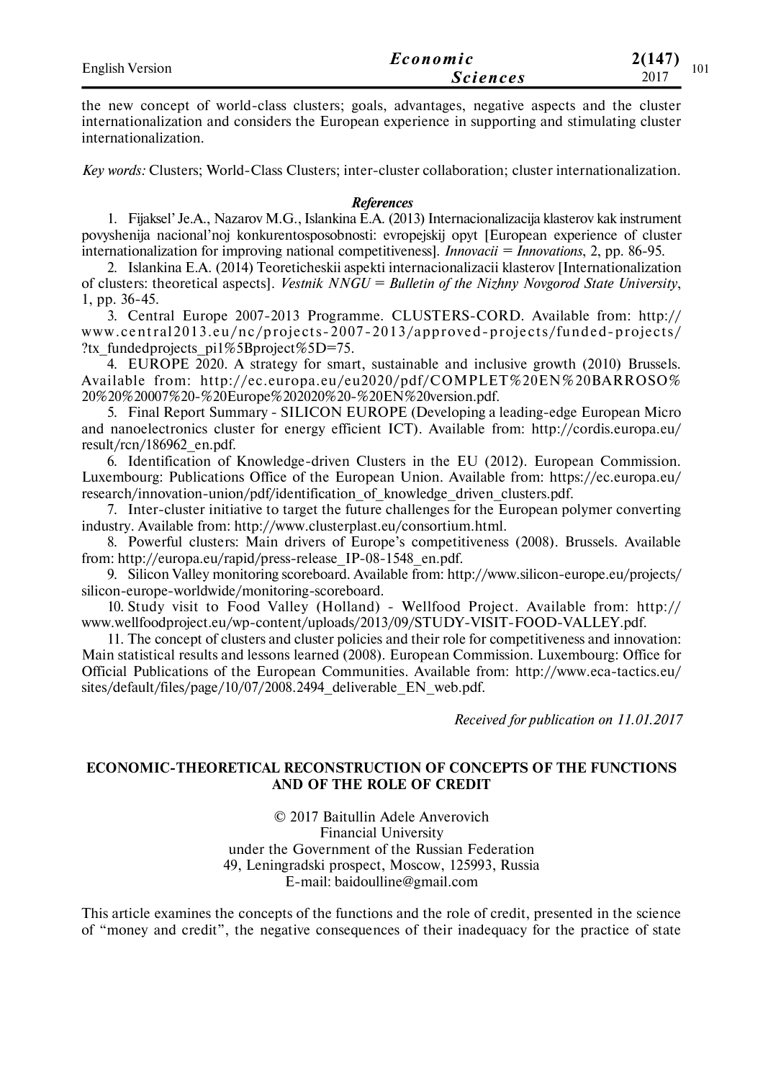| <b>English Version</b> | Economic        | 2(147)<br>101 |
|------------------------|-----------------|---------------|
|                        | <i>Sciences</i> | 2017          |

the new concept of world-class clusters; goals, advantages, negative aspects and the cluster internationalization and considers the European experience in supporting and stimulating cluster internationalization.

*Key words:* Clusters; World-Class Clusters; inter-cluster collaboration; cluster internationalization.

#### *References*

1. Fijaksel' Je.A., Nazarov M.G., Islankina E.A. (2013) Internacionalizacija klasterov kak instrument povyshenija nacional'noj konkurentosposobnosti: evropejskij opyt [European experience of cluster internationalization for improving national competitiveness]. *Innovacii = Innovations*, 2, pp. 86-95.

2. Islankina E.A. (2014) Teoreticheskii aspekti internacionalizacii klasterov [Internationalization of clusters: theoretical aspects]. *Vestnik NNGU = Bulletin of the Nizhny Novgorod State University*, 1, pp. 36-45.

3. Central Europe 2007-2013 Programme. CLUSTERS-CORD. Available from: http://  $www.central 2013.eu/nc/projects-2007-2013/approved-projects/funded-projects/$ ?tx fundedprojects pi1%5Bproject%5D=75.

4. EUROPE 2020. A strategy for smart, sustainable and inclusive growth (2010) Brussels. Available from: http://ec.europa.eu/eu2020/pdf/COMPLET%20EN%20BARROSO% 20%20%20007%20-%20Europe%202020%20-%20EN%20version.pdf.

5. Final Report Summary - SILICON EUROPE (Developing a leading-edge European Micro and nanoelectronics cluster for energy efficient ICT). Available from: http://cordis.europa.eu/ result/rcn/186962\_en.pdf.

6. Identification of Knowledge-driven Clusters in the EU (2012). European Commission. Luxembourg: Publications Office of the European Union. Available from: https://ec.europa.eu/ research/innovation-union/pdf/identification of knowledge driven clusters.pdf.

7. Inter-cluster initiative to target the future challenges for the European polymer converting industry. Available from: http://www.clusterplast.eu/consortium.html.

8. Powerful clusters: Main drivers of Europe's competitiveness (2008). Brussels. Available from: http://europa.eu/rapid/press-release\_IP-08-1548\_en.pdf.

9. Silicon Valley monitoring scoreboard. Available from: http://www.silicon-europe.eu/projects/ silicon-europe-worldwide/monitoring-scoreboard.

10. Study visit to Food Valley (Holland) - Wellfood Project. Available from: http:// www.wellfoodproject.eu/wp-content/uploads/2013/09/STUDY-VISIT-FOOD-VALLEY.pdf.

11. The concept of clusters and cluster policies and their role for competitiveness and innovation: Main statistical results and lessons learned (2008). European Commission. Luxembourg: Office for Official Publications of the European Communities. Available from: http://www.eca-tactics.eu/ sites/default/files/page/10/07/2008.2494 deliverable EN web.pdf.

*Received for publication on 11.01.2017*

## **ECONOMIC-THEORETICAL RECONSTRUCTION OF CONCEPTS OF THE FUNCTIONS AND OF THE ROLE OF CREDIT**

© 2017 Baitullin Adele Anverovich Financial University under the Government of the Russian Federation 49, Leningradski prospect, Moscow, 125993, Russia E-mail: baidoulline@gmail.com

This article examines the concepts of the functions and the role of credit, presented in the science of "money and credit", the negative consequences of their inadequacy for the practice of state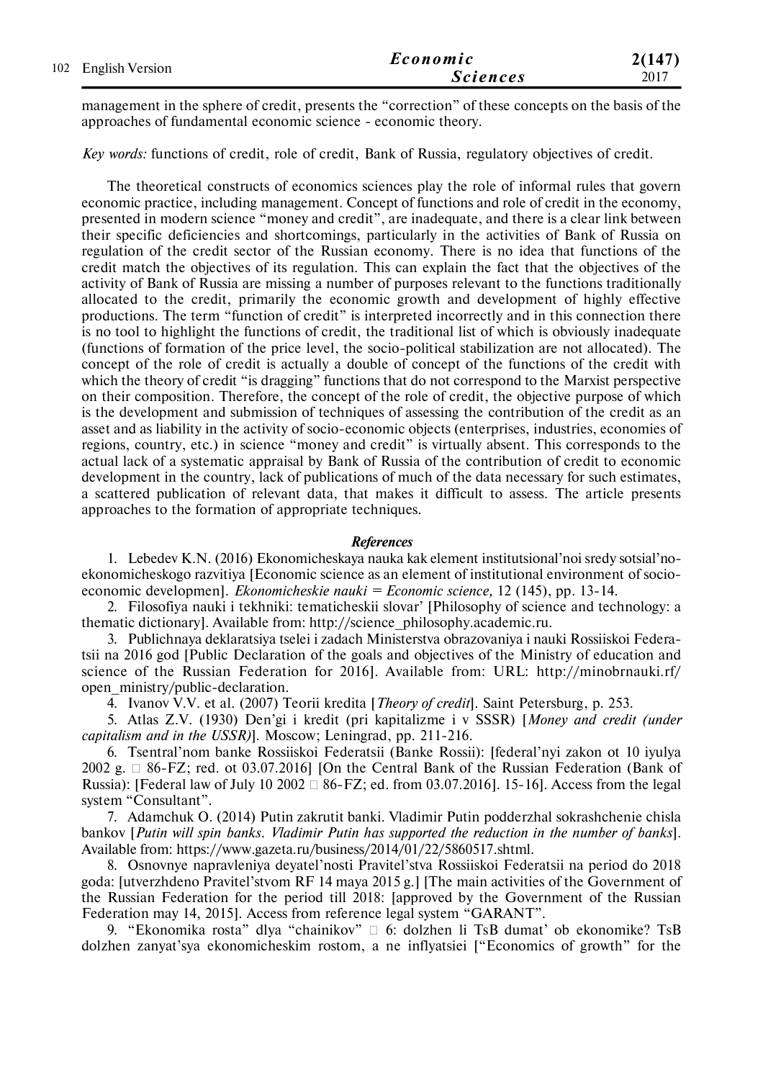| 102 English Version | Economic        | 2(147) |
|---------------------|-----------------|--------|
|                     | <b>Sciences</b> | 2017   |

management in the sphere of credit, presents the "correction" of these concepts on the basis of the approaches of fundamental economic science - economic theory.

*Key words:* functions of credit, role of credit, Bank of Russia, regulatory objectives of credit.

The theoretical constructs of economics sciences play the role of informal rules that govern economic practice, including management. Concept of functions and role of credit in the economy, presented in modern science "money and credit", are inadequate, and there is a clear link between their specific deficiencies and shortcomings, particularly in the activities of Bank of Russia on regulation of the credit sector of the Russian economy. There is no idea that functions of the credit match the objectives of its regulation. This can explain the fact that the objectives of the activity of Bank of Russia are missing a number of purposes relevant to the functions traditionally allocated to the credit, primarily the economic growth and development of highly effective productions. The term "function of credit" is interpreted incorrectly and in this connection there is no tool to highlight the functions of credit, the traditional list of which is obviously inadequate (functions of formation of the price level, the socio-political stabilization are not allocated). The concept of the role of credit is actually a double of concept of the functions of the credit with which the theory of credit "is dragging" functions that do not correspond to the Marxist perspective on their composition. Therefore, the concept of the role of credit, the objective purpose of which is the development and submission of techniques of assessing the contribution of the credit as an asset and as liability in the activity of socio-economic objects (enterprises, industries, economies of regions, country, etc.) in science "money and credit" is virtually absent. This corresponds to the actual lack of a systematic appraisal by Bank of Russia of the contribution of credit to economic development in the country, lack of publications of much of the data necessary for such estimates, a scattered publication of relevant data, that makes it difficult to assess. The article presents approaches to the formation of appropriate techniques.

#### *References*

1. Lebedev K.N. (2016) Ekonomicheskaya nauka kak element institutsional'noi sredy sotsial'noekonomicheskogo razvitiya [Economic science as an element of institutional environment of socioeconomic developmen]. *Ekonomicheskie nauki = Economic science,* 12 (145), pp. 13-14.

2. Filosofiya nauki i tekhniki: tematicheskii slovar' [Philosophy of science and technology: a thematic dictionary]. Available from: http://science\_philosophy.academic.ru.

3. Publichnaya deklaratsiya tselei i zadach Ministerstva obrazovaniya i nauki Rossiiskoi Federatsii na 2016 god [Public Declaration of the goals and objectives of the Ministry of education and science of the Russian Federation for 2016]. Available from: URL: http://minobrnauki.rf/ open\_ministry/public-declaration.

4. Ivanov V.V. et al. (2007) Teorii kredita [*Theory of credit*]. Saint Petersburg, p. 253.

5. Atlas Z.V. (1930) Den'gi i kredit (pri kapitalizme i v SSSR) [*Money and credit (under capitalism and in the USSR)*]. Moscow; Leningrad, pp. 211-216.

6. Tsentral'nom banke Rossiiskoi Federatsii (Banke Rossii): [federal'nyi zakon ot 10 iyulya 2002 g.  $\Box$  86-FZ; red. ot 03.07.2016] [On the Central Bank of the Russian Federation (Bank of Russia): [Federal law of July 10 2002  $\Box$  86-FZ; ed. from 03.07.2016]. 15-16]. Access from the legal system "Consultant".

7. Adamchuk O. (2014) Putin zakrutit banki. Vladimir Putin podderzhal sokrashchenie chisla bankov [*Putin will spin banks. Vladimir Putin has supported the reduction in the number of banks*]. Available from: https://www.gazeta.ru/business/2014/01/22/5860517.shtml.

8. Osnovnye napravleniya deyatel'nosti Pravitel'stva Rossiiskoi Federatsii na period do 2018 goda: [utverzhdeno Pravitel'stvom RF 14 maya 2015 g.] [The main activities of the Government of the Russian Federation for the period till 2018: [approved by the Government of the Russian Federation may 14, 2015]. Access from reference legal system "GARANT".

9. "Ekonomika rosta" dlya "chainikov"  $\Box$  6: dolzhen li TsB dumat' ob ekonomike? TsB dolzhen zanyat'sya ekonomicheskim rostom, a ne inflyatsiei ["Economics of growth" for the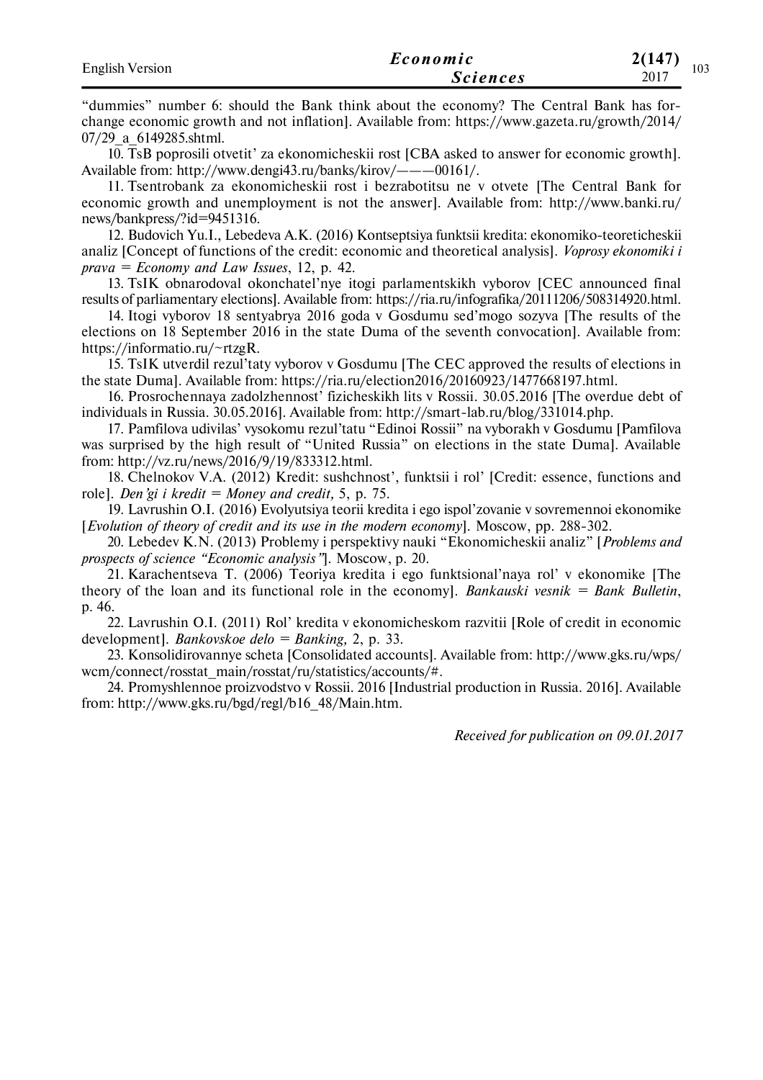| <b>English Version</b> | Economic        | 2(147)<br>103 |
|------------------------|-----------------|---------------|
|                        | <i>Sciences</i> | 2017          |

"dummies" number 6: should the Bank think about the economy? The Central Bank has forchange economic growth and not inflation]. Available from: https://www.gazeta.ru/growth/2014/ 07/29\_a\_6149285.shtml.

10. TsB poprosili otvetit' za ekonomicheskii rost [CBA asked to answer for economic growth]. Available from: http://www.dengi43.ru/banks/kirov/———00161/.

11. Tsentrobank za ekonomicheskii rost i bezrabotitsu ne v otvete [The Central Bank for economic growth and unemployment is not the answer]. Available from: http://www.banki.ru/ news/bankpress/?id=9451316.

12. Budovich Yu.I., Lebedeva A.K. (2016) Kontseptsiya funktsii kredita: ekonomiko-teoreticheskii analiz [Concept of functions of the credit: economic and theoretical analysis]. *Voprosy ekonomiki i prava = Economy and Law Issues*, 12, p. 42.

13. TsIK obnarodoval okonchatel'nye itogi parlamentskikh vyborov [CEC announced final results of parliamentary elections]. Available from: https://ria.ru/infografika/20111206/508314920.html.

14. Itogi vyborov 18 sentyabrya 2016 goda v Gosdumu sed'mogo sozyva [The results of the elections on 18 September 2016 in the state Duma of the seventh convocation]. Available from: https://informatio.ru/~rtzgR.

15. TsIK utverdil rezul'taty vyborov v Gosdumu [The CEC approved the results of elections in the state Duma]. Available from: https://ria.ru/election2016/20160923/1477668197.html.

16. Prosrochennaya zadolzhennost' fizicheskikh lits v Rossii. 30.05.2016 [The overdue debt of individuals in Russia. 30.05.2016]. Available from: http://smart-lab.ru/blog/331014.php.

17. Pamfilova udivilas' vysokomu rezul'tatu "Edinoi Rossii" na vyborakh v Gosdumu [Pamfilova was surprised by the high result of "United Russia" on elections in the state Duma]. Available from: http://vz.ru/news/2016/9/19/833312.html.

18. Chelnokov V.A. (2012) Kredit: sushchnost', funktsii i rol' [Credit: essence, functions and role]. *Den'gi i kredit = Money and credit,* 5, p. 75.

19. Lavrushin O.I. (2016) Evolyutsiya teorii kredita i ego ispol'zovanie v sovremennoi ekonomike [*Evolution of theory of credit and its use in the modern economy*]. Moscow, pр. 288-302.

20. Lebedev K.N. (2013) Problemy i perspektivy nauki "Ekonomicheskii analiz" [*Problems and prospects of science "Economic analysis"*]. Moscow, p. 20.

21. Karachentseva T. (2006) Teoriya kredita i ego funktsional'naya rol' v ekonomike [The theory of the loan and its functional role in the economy]. *Bankauski vesnik = Bank Bulletin*, p. 46.

22. Lavrushin O.I. (2011) Rol' kredita v ekonomicheskom razvitii [Role of credit in economic development]. *Bankovskoe delo = Banking,* 2, p. 33.

23. Konsolidirovannye scheta [Consolidated accounts]. Available from: http://www.gks.ru/wps/ wcm/connect/rosstat\_main/rosstat/ru/statistics/accounts/#.

24. Promyshlennoe proizvodstvo v Rossii. 2016 [Industrial production in Russia. 2016]. Available from: http://www.gks.ru/bgd/regl/b16\_48/Main.htm.

*Received for publication on 09.01.2017*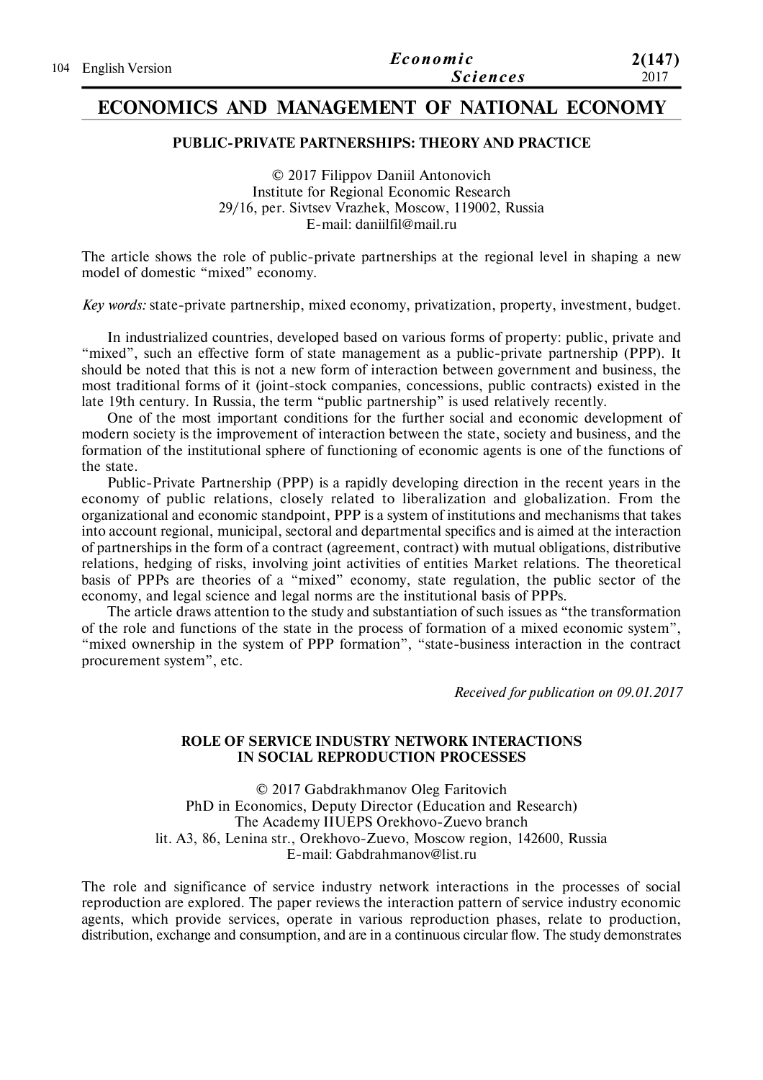|                     | Economic        | 2(147) |
|---------------------|-----------------|--------|
| 104 English Version | <i>Sciences</i> | 2017   |

# **ECONOMICS AND MANAGEMENT OF NATIONAL ECONOMY**

#### **PUBLIC-PRIVATE PARTNERSHIPS: THEORY AND PRACTICE**

© 2017 Filippov Daniil Antonovich Institute for Regional Economic Research 29/16, per. Sivtsev Vrazhek, Moscow, 119002, Russia E-mail: daniilfil@mail.ru

The article shows the role of public-private partnerships at the regional level in shaping a new model of domestic "mixed" economy.

*Key words:* state-private partnership, mixed economy, privatization, property, investment, budget.

In industrialized countries, developed based on various forms of property: public, private and "mixed", such an effective form of state management as a public-private partnership (PPP). It should be noted that this is not a new form of interaction between government and business, the most traditional forms of it (joint-stock companies, concessions, public contracts) existed in the late 19th century. In Russia, the term "public partnership" is used relatively recently.

One of the most important conditions for the further social and economic development of modern society is the improvement of interaction between the state, society and business, and the formation of the institutional sphere of functioning of economic agents is one of the functions of the state.

Public-Private Partnership (PPP) is a rapidly developing direction in the recent years in the economy of public relations, closely related to liberalization and globalization. From the organizational and economic standpoint, PPP is a system of institutions and mechanisms that takes into account regional, municipal, sectoral and departmental specifics and is aimed at the interaction of partnerships in the form of a contract (agreement, contract) with mutual obligations, distributive relations, hedging of risks, involving joint activities of entities Market relations. The theoretical basis of PPPs are theories of a "mixed" economy, state regulation, the public sector of the economy, and legal science and legal norms are the institutional basis of PPPs.

The article draws attention to the study and substantiation of such issues as "the transformation of the role and functions of the state in the process of formation of a mixed economic system", "mixed ownership in the system of PPP formation", "state-business interaction in the contract procurement system", etc.

*Received for publication on 09.01.2017*

#### **ROLE OF SERVICE INDUSTRY NETWORK INTERACTIONS IN SOCIAL REPRODUCTION PROCESSES**

© 2017 Gabdrakhmanov Oleg Faritovich PhD in Economics, Deputy Director (Education and Research) The Academy IIUEPS Orekhovo-Zuevo branch lit. A3, 86, Lenina str., Orekhovo-Zuevo, Moscow region, 142600, Russia E-mail: Gabdrahmanov@list.ru

The role and significance of service industry network interactions in the processes of social reproduction are explored. The paper reviews the interaction pattern of service industry economic agents, which provide services, operate in various reproduction phases, relate to production, distribution, exchange and consumption, and are in a continuous circular flow. The study demonstrates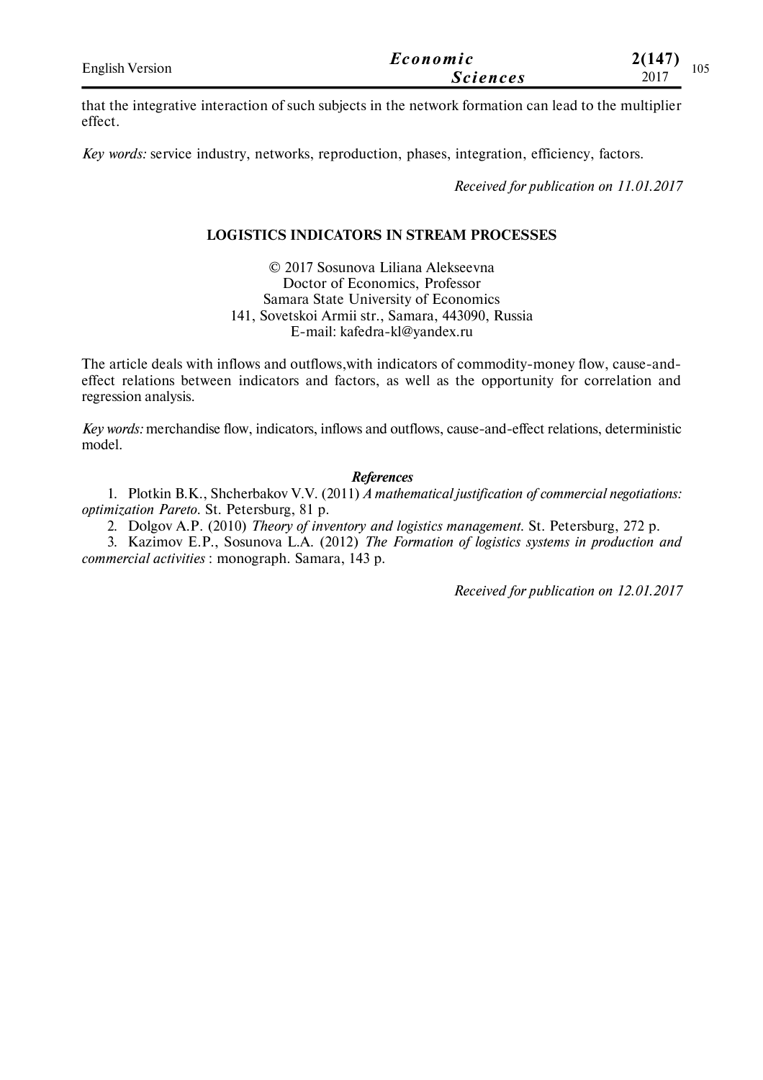| <b>English Version</b> | Economic        | 2(147)<br>105 |
|------------------------|-----------------|---------------|
|                        | <i>Sciences</i> | 2017          |

that the integrative interaction of such subjects in the network formation can lead to the multiplier effect.

*Key words:* service industry, networks, reproduction, phases, integration, efficiency, factors.

*Received for publication on 11.01.2017*

## **LOGISTICS INDICATORS IN STREAM PROCESSES**

© 2017 Sosunova Liliana Alekseevna Doctor of Economics, Professor Samara State University of Economics 141, Sovetskoi Armii str., Samara, 443090, Russia E-mail: kafedra-kl@yandex.ru

The article deals with inflows and outflows,with indicators of commodity-money flow, cause-andeffect relations between indicators and factors, as well as the opportunity for correlation and regression analysis.

*Key words:* merchandise flow, indicators, inflows and outflows, cause-and-effect relations, deterministic model.

#### *References*

1. Plotkin B.K., Shcherbakov V.V. (2011) *A mathematical justification of commercial negotiations: optimization Pareto*. St. Petersburg, 81 p.

2. Dolgov A.P. (2010) *Theory of inventory and logistics management*. St. Petersburg, 272 p.

3. Kazimov E.P., Sosunova L.A. (2012) *The Formation of logistics systems in production and commercial activities* : monograph. Samara, 143 p.

*Received for publication on 12.01.2017*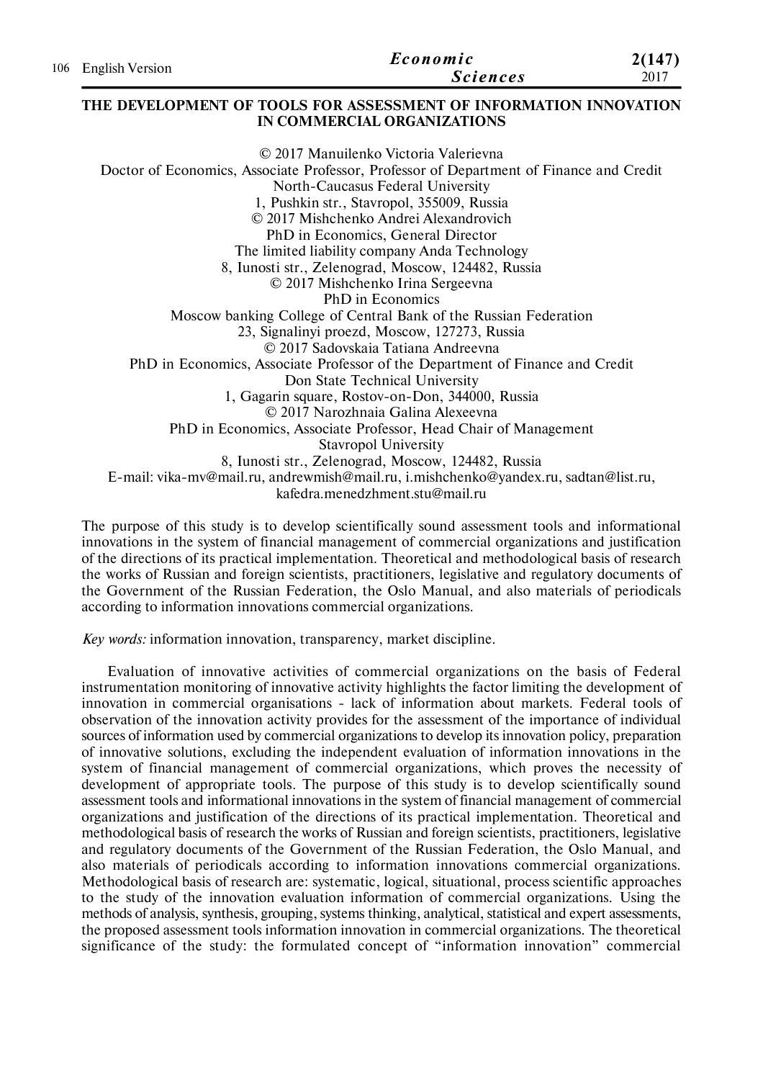| 106 English Version | Economic | 2(147)          |      |
|---------------------|----------|-----------------|------|
|                     |          | <i>Sciences</i> | 2017 |

#### **THE DEVELOPMENT OF TOOLS FOR ASSESSMENT OF INFORMATION INNOVATION IN COMMERCIAL ORGANIZATIONS**

© 2017 Manuilenko Victoria Valerievna Doctor of Economics, Associate Professor, Professor of Department of Finance and Credit North-Caucasus Federal University 1, Pushkin str., Stavropol, 355009, Russia © 2017 Mishchenko Andrei Alexandrovich PhD in Economics, General Director The limited liability company Anda Technology 8, Iunosti str., Zelenograd, Moscow, 124482, Russia © 2017 Mishchenko Irina Sergeevna PhD in Economics Moscow banking College of Central Bank of the Russian Federation 23, Signalinyi proezd, Moscow, 127273, Russia © 2017 Sadovskaia Tatiana Andreevna PhD in Economics, Associate Professor of the Department of Finance and Credit Don State Technical University 1, Gagarin square, Rostov-on-Don, 344000, Russia © 2017 Narozhnaia Galina Alexeevna PhD in Economics, Associate Professor, Head Chair of Management Stavropol University 8, Iunosti str., Zelenograd, Moscow, 124482, Russia E-mail: vika-mv@mail.ru, andrewmish@mail.ru, i.mishchenko@yandex.ru, sadtan@list.ru, kafedra.menedzhment.stu@mail.ru

The purpose of this study is to develop scientifically sound assessment tools and informational innovations in the system of financial management of commercial organizations and justification of the directions of its practical implementation. Theoretical and methodological basis of research the works of Russian and foreign scientists, practitioners, legislative and regulatory documents of the Government of the Russian Federation, the Oslo Manual, and also materials of periodicals according to information innovations commercial organizations.

*Key words:* information innovation, transparency, market discipline.

Evaluation of innovative activities of commercial organizations on the basis of Federal instrumentation monitoring of innovative activity highlights the factor limiting the development of innovation in commercial organisations - lack of information about markets. Federal tools of observation of the innovation activity provides for the assessment of the importance of individual sources of information used by commercial organizations to develop its innovation policy, preparation of innovative solutions, excluding the independent evaluation of information innovations in the system of financial management of commercial organizations, which proves the necessity of development of appropriate tools. The purpose of this study is to develop scientifically sound assessment tools and informational innovations in the system of financial management of commercial organizations and justification of the directions of its practical implementation. Theoretical and methodological basis of research the works of Russian and foreign scientists, practitioners, legislative and regulatory documents of the Government of the Russian Federation, the Oslo Manual, and also materials of periodicals according to information innovations commercial organizations. Methodological basis of research are: systematic, logical, situational, process scientific approaches to the study of the innovation evaluation information of commercial organizations. Using the methods of analysis, synthesis, grouping, systems thinking, analytical, statistical and expert assessments, the proposed assessment tools information innovation in commercial organizations. The theoretical significance of the study: the formulated concept of "information innovation" commercial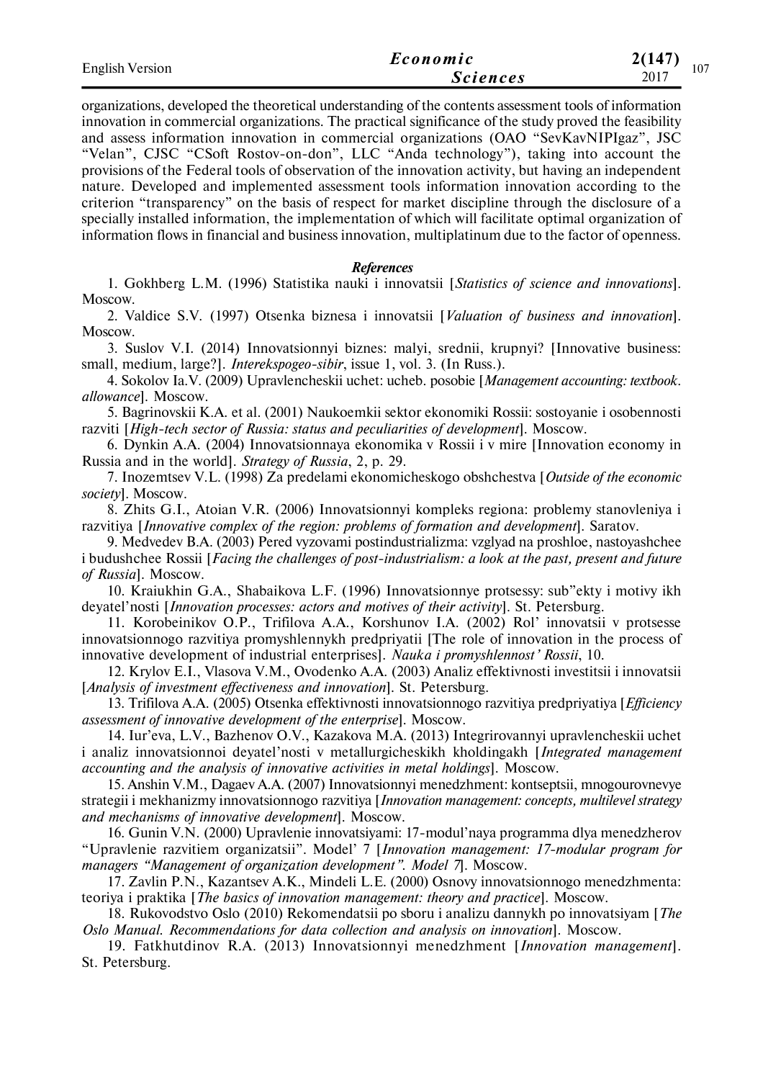| <b>English Version</b> | Economic        | 2(147)<br>107 |
|------------------------|-----------------|---------------|
|                        | <i>Sciences</i> | 2017          |

organizations, developed the theoretical understanding of the contents assessment tools of information innovation in commercial organizations. The practical significance of the study proved the feasibility and assess information innovation in commercial organizations (OAO "SevKavNIPIgaz", JSC "Velan", CJSC "CSoft Rostov-on-don", LLC "Anda technology"), taking into account the provisions of the Federal tools of observation of the innovation activity, but having an independent nature. Developed and implemented assessment tools information innovation according to the criterion "transparency" on the basis of respect for market discipline through the disclosure of a specially installed information, the implementation of which will facilitate optimal organization of information flows in financial and business innovation, multiplatinum due to the factor of openness.

#### *References*

1. Gokhberg L.M. (1996) Statistika nauki i innovatsii [*Statistics of science and innovations*]. Moscow.

2. Valdice S.V. (1997) Otsenka biznesa i innovatsii [*Valuation of business and innovation*]. Moscow.

3. Suslov V.I. (2014) Innovatsionnyi biznes: malyi, srednii, krupnyi? [Innovative business: small, medium, large?]. *Interekspogeo-sibir*, issue 1, vol. 3. (In Russ.).

4. Sokolov Ia.V. (2009) Upravlencheskii uchet: ucheb. posobie [*Management accounting: textbook. allowance*]. Moscow.

5. Bagrinovskii K.A. et al. (2001) Naukoemkii sektor ekonomiki Rossii: sostoyanie i osobennosti razviti [*High-tech sector of Russia: status and peculiarities of development*]. Moscow.

6. Dynkin A.A. (2004) Innovatsionnaya ekonomika v Rossii i v mire [Innovation economy in Russia and in the world]. *Strategy of Russia*, 2, p. 29.

7. Inozemtsev V.L. (1998) Za predelami ekonomicheskogo obshchestva [*Outside of the economic society*]. Moscow.

8. Zhits G.I., Atoian V.R. (2006) Innovatsionnyi kompleks regiona: problemy stanovleniya i razvitiya [*Innovative complex of the region: problems of formation and development*]. Saratov.

9. Medvedev B.A. (2003) Pered vyzovami postindustrializma: vzglyad na proshloe, nastoyashchee i budushchee Rossii [*Facing the challenges of post-industrialism: a look at the past, present and future of Russia*]. Moscow.

10. Kraiukhin G.A., Shabaikova L.F. (1996) Innovatsionnye protsessy: sub"ekty i motivy ikh deyatel'nosti [*Innovation processes: actors and motives of their activity*]. St. Petersburg.

11. Korobeinikov O.P., Trifilova A.A., Korshunov I.A. (2002) Rol' innovatsii v protsesse innovatsionnogo razvitiya promyshlennykh predpriyatii [The role of innovation in the process of innovative development of industrial enterprises]. *Nauka i promyshlennost' Rossii*, 10.

12. Krylov E.I., Vlasova V.M., Ovodenko A.A. (2003) Analiz effektivnosti investitsii i innovatsii [*Analysis of investment effectiveness and innovation*]. St. Petersburg.

13. Trifilova A.А. (2005) Otsenka effektivnosti innovatsionnogo razvitiya predpriyatiya [*Efficiency assessment of innovative development of the enterprise*]. Moscow.

14. Iur'eva, L.V., Bazhenov O.V., Kazakova M.A. (2013) Integrirovannyi upravlencheskii uchet i analiz innovatsionnoi deyatel'nosti v metallurgicheskikh kholdingakh [*Integrated management accounting and the analysis of innovative activities in metal holdings*]. Moscow.

15. Anshin V.M., Dagaev A.A. (2007) Innovatsionnyi menedzhment: kontseptsii, mnogourovnevye strategii i mekhanizmy innovatsionnogo razvitiya [*Innovation management: concepts, multilevel strategy and mechanisms of innovative development*]. Moscow.

16. Gunin V.N. (2000) Upravlenie innovatsiyami: 17-modul'naya programma dlya menedzherov "Upravlenie razvitiem organizatsii". Model' 7 [*Innovation management: 17-modular program for managers "Management of organization development". Model 7*]. Moscow.

17. Zavlin P.N., Kazantsev A.K., Mindeli L.E. (2000) Osnovy innovatsionnogo menedzhmenta: teoriya i praktika [*The basics of innovation management: theory and practice*]. Moscow.

18. Rukovodstvo Oslo (2010) Rekomendatsii po sboru i analizu dannykh po innovatsiyam [*The Oslo Manual. Recommendations for data collection and analysis on innovation*]. Moscow.

19. Fatkhutdinov R.A. (2013) Innovatsionnyi menedzhment [*Innovation management*]. St. Petersburg.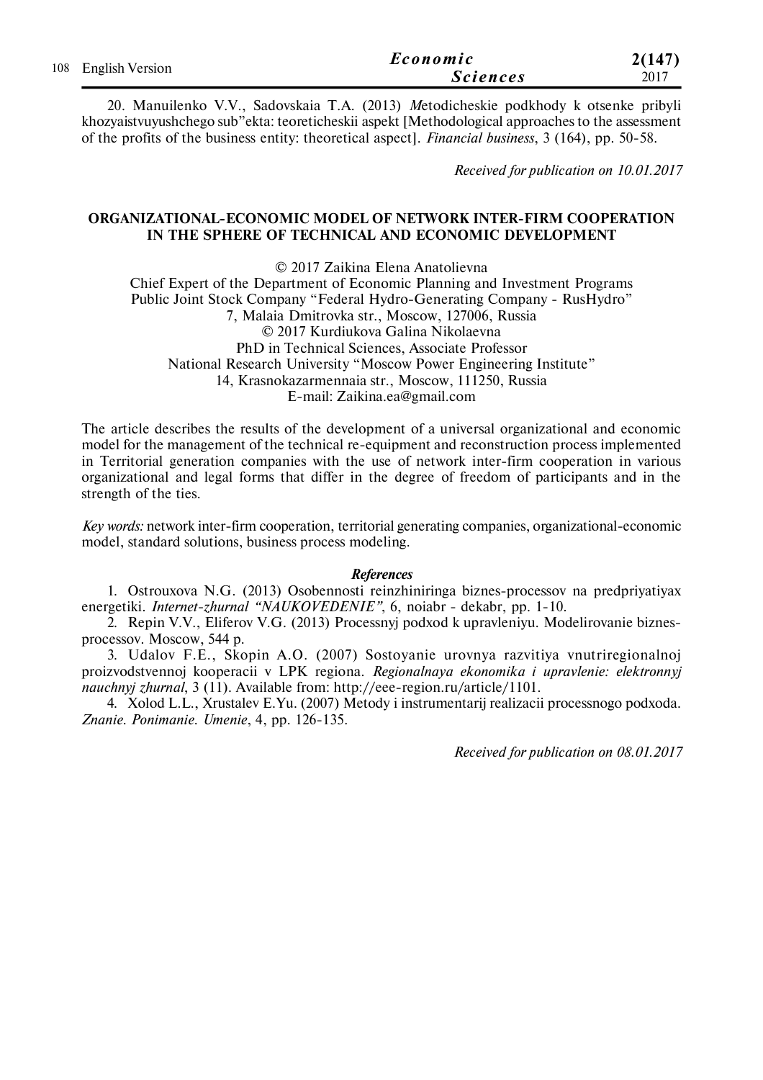|                     | Economic        | 2(147) |
|---------------------|-----------------|--------|
| 108 English Version | <i>Sciences</i> | 2017   |

20. Manuilenko V.V., Sadovskaia T.A. (2013) *M*etodicheskie podkhody k otsenke pribyli khozyaistvuyushchego sub"ekta: teoreticheskii aspekt [Methodological approaches to the assessment of the profits of the business entity: theoretical aspect]. *Financial business*, 3 (164), pp. 50-58.

*Received for publication on 10.01.2017*

## **ORGANIZATIONAL-ECONOMIC MODEL OF NETWORK INTER-FIRM COOPERATION IN THE SPHERE OF TECHNICAL AND ECONOMIC DEVELOPMENT**

© 2017 Zaikina Elena Anatolievna Chief Expert of the Department of Economic Planning and Investment Programs Public Joint Stock Company "Federal Hydro-Generating Company - RusHydro" 7, Malaia Dmitrovka str., Moscow, 127006, Russia © 2017 Kurdiukova Galina Nikolaevna PhD in Technical Sciences, Associate Professor National Research University "Moscow Power Engineering Institute" 14, Krasnokazarmennaia str., Moscow, 111250, Russia E-mail: Zaikina.ea@gmail.com

The article describes the results of the development of a universal organizational and economic model for the management of the technical re-equipment and reconstruction process implemented in Territorial generation companies with the use of network inter-firm cooperation in various organizational and legal forms that differ in the degree of freedom of participants and in the strength of the ties.

*Key words:* network inter-firm cooperation, territorial generating companies, organizational-economic model, standard solutions, business process modeling.

#### *References*

1. Ostrouxova N.G. (2013) Osobennosti reinzhiniringa biznes-processov na predpriyatiyax energetiki. *Internet-zhurnal "NAUKOVEDENIE"*, 6, noiabr - dekabr, рр. 1-10.

2. Repin V.V., Eliferov V.G. (2013) Processnyj podxod k upravleniyu. Modelirovanie biznesprocessov. Moscow, 544 p.

3. Udalov F.E., Skopin A.O. (2007) Sostoyanie urovnya razvitiya vnutriregionalnoj proizvodstvennoj kooperacii v LPK regiona. *Regionalnaya ekonomika i upravlenie: elektronnyj nauchnyj zhurnal*, 3 (11). Available from: http://eee-region.ru/article/1101.

4. Xolod L.L., Xrustalev E.Yu. (2007) Metody i instrumentarij realizacii processnogo podxoda. *Znanie. Ponimanie. Umenie*, 4, pp. 126-135.

*Received for publication on 08.01.2017*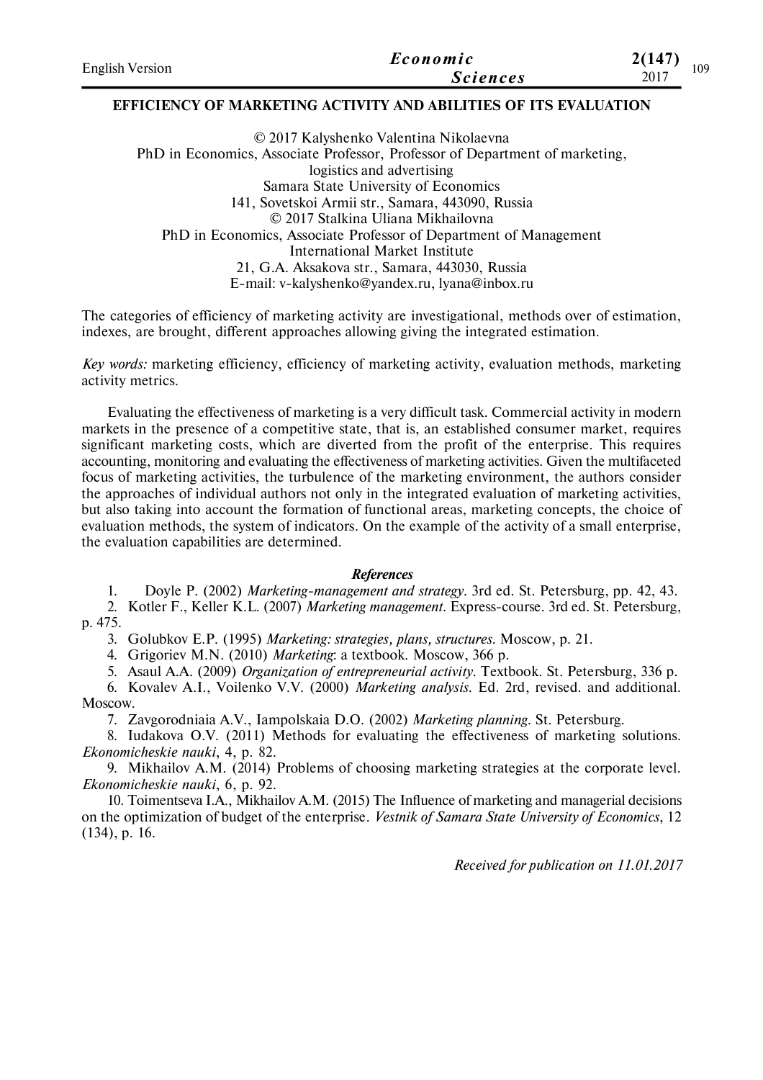| <b>English Version</b> | Economic        | 21147`<br>109 |
|------------------------|-----------------|---------------|
|                        | <b>Sciences</b> | 2017          |

## **EFFICIENCY OF MARKETING ACTIVITY AND ABILITIES OF ITS EVALUATION**

© 2017 Kalyshenko Valentina Nikolaevna PhD in Economics, Associate Professor, Professor of Department of marketing, logistics and advertising Samara State University of Economics 141, Sovetskoi Armii str., Samara, 443090, Russia © 2017 Stalkina Uliana Mikhailovna PhD in Economics, Associate Professor of Department of Management International Market Institute 21, G.A. Aksakova str., Samara, 443030, Russia E-mail: v-kalyshenko@yandex.ru, lyana@inbox.ru

The categories of efficiency of marketing activity are investigational, methods over of estimation, indexes, are brought, different approaches allowing giving the integrated estimation.

*Key words:* marketing efficiency, efficiency of marketing activity, evaluation methods, marketing activity metrics.

Evaluating the effectiveness of marketing is a very difficult task. Commercial activity in modern markets in the presence of a competitive state, that is, an established consumer market, requires significant marketing costs, which are diverted from the profit of the enterprise. This requires accounting, monitoring and evaluating the effectiveness of marketing activities. Given the multifaceted focus of marketing activities, the turbulence of the marketing environment, the authors consider the approaches of individual authors not only in the integrated evaluation of marketing activities, but also taking into account the formation of functional areas, marketing concepts, the choice of evaluation methods, the system of indicators. On the example of the activity of a small enterprise, the evaluation capabilities are determined.

#### *References*

1. Doyle P. (2002) *Marketing-management and strategy*. 3rd ed. St. Petersburg, рр. 42, 43.

2. Kotler F., Keller K.L. (2007) *Marketing management*. Express-course. 3rd ed. St. Petersburg, р. 475.

3. Golubkov E.P. (1995) *Marketing: strategies, plans, structures*. Moscow, p. 21.

4. Grigoriev M.N. (2010) *Marketing*: a textbook. Мoscow, 366 р.

5. Asaul A.А. (2009) *Organization of entrepreneurial activity*. Textbook. St. Petersburg, 336 p.

6. Kovalev A.I., Voilenko V.V. (2000) *Marketing analysis*. Ed. 2rd, revised. and additional. Moscow.

7. Zavgorodniaia A.V., Iampolskaia D.O. (2002) *Marketing planning*. St. Petersburg.

8. Iudakova O.V. (2011) Methods for evaluating the effectiveness of marketing solutions. *Ekonomicheskie nauki*, 4, p. 82.

9. Mikhailov A.M. (2014) Problems of choosing marketing strategies at the corporate level. *Ekonomicheskie nauki*, 6, p. 92.

10. Toimentseva I.A., Mikhailov A.M. (2015) The Influence of marketing and managerial decisions on the optimization of budget of the enterprise. *Vestnik of Samara State University of Economics*, 12 (134), p. 16.

*Received for publication on 11.01.2017*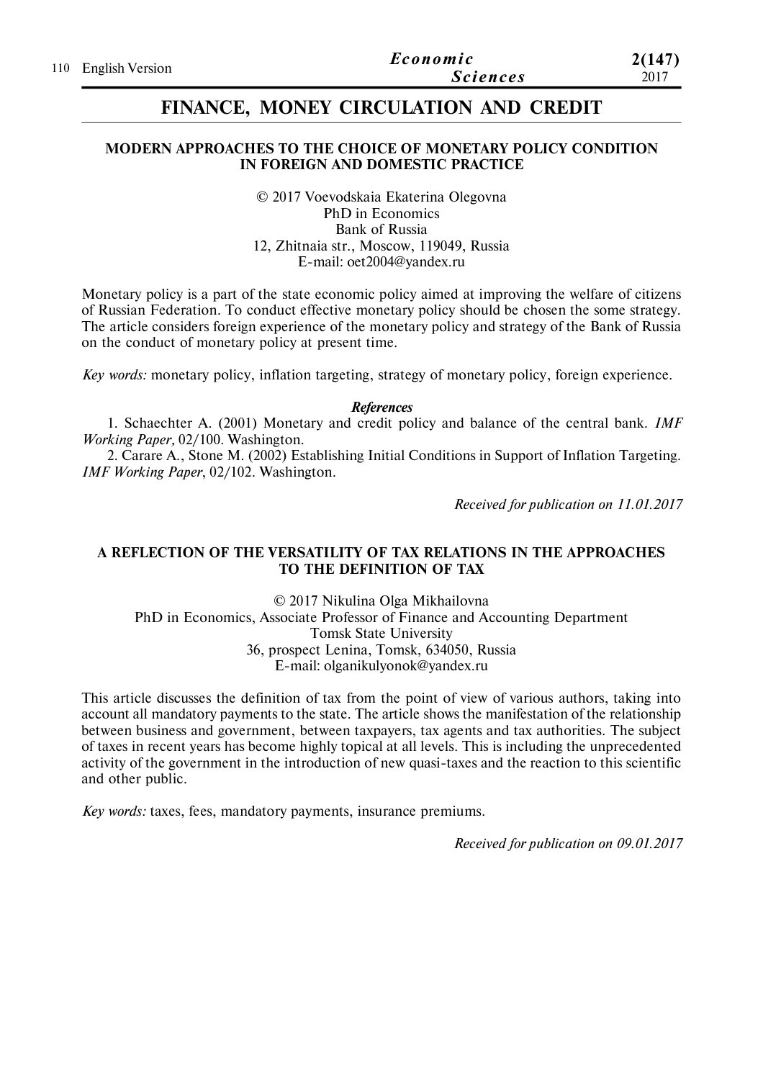|  | 110 English Version | Economic        | 2(147) |
|--|---------------------|-----------------|--------|
|  |                     | <i>Sciences</i> | 2017   |

# **FINANCE, MONEY CIRCULATION AND CREDIT**

#### **MODERN APPROACHES TO THE CHOICE OF MONETARY POLICY CONDITION IN FOREIGN AND DOMESTIC PRACTICE**

© 2017 Voevodskaia Ekaterina Olegovna PhD in Economics Bank of Russia 12, Zhitnaia str., Moscow, 119049, Russia E-mail: oet2004@yandex.ru

Monetary policy is a part of the state economic policy aimed at improving the welfare of citizens of Russian Federation. To conduct effective monetary policy should be chosen the some strategy. The article considers foreign experience of the monetary policy and strategy of the Bank of Russia on the conduct of monetary policy at present time.

*Key words:* monetary policy, inflation targeting, strategy of monetary policy, foreign experience.

*References*

1. Schaechter A. (2001) Monetary and credit policy and balance of the central bank. *IMF Working Paper,* 02/100. Washington.

2. Carare A., Stone M. (2002) Establishing Initial Conditions in Support of Inflation Targeting. *IMF Working Paper*, 02/102. Washington.

*Received for publication on 11.01.2017*

## **A REFLECTION OF THE VERSATILITY OF TAX RELATIONS IN THE APPROACHES TO THE DEFINITION OF TAX**

© 2017 Nikulina Olga Mikhailovna PhD in Economics, Associate Professor of Finance and Accounting Department Tomsk State University 36, prospect Lenina, Tomsk, 634050, Russia E-mail: olganikulyonok@yandex.ru

This article discusses the definition of tax from the point of view of various authors, taking into account all mandatory payments to the state. The article shows the manifestation of the relationship between business and government, between taxpayers, tax agents and tax authorities. The subject of taxes in recent years has become highly topical at all levels. This is including the unprecedented activity of the government in the introduction of new quasi-taxes and the reaction to this scientific and other public.

*Key words:* taxes, fees, mandatory payments, insurance premiums.

*Received for publication on 09.01.2017*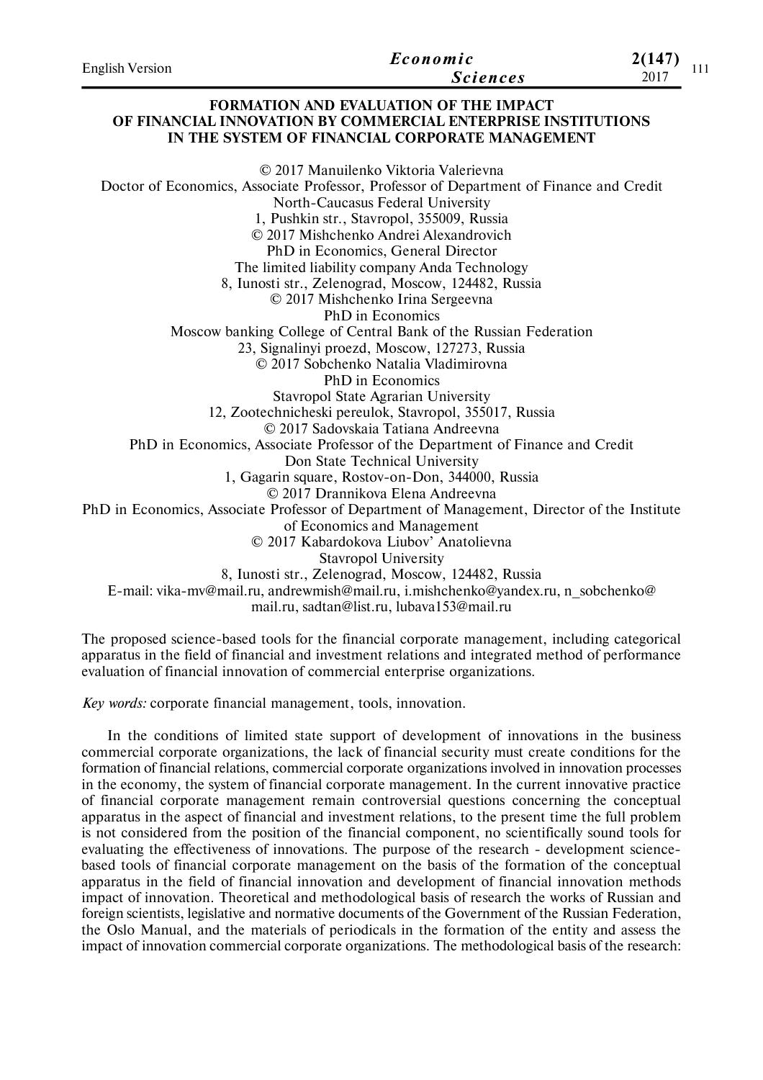| <b>English Version</b> | Economic<br><b>Sciences</b>                                                                                                                                       | 2(147)<br>111<br>2017 |
|------------------------|-------------------------------------------------------------------------------------------------------------------------------------------------------------------|-----------------------|
|                        | <b>FORMATION AND EVALUATION OF THE IMPACT</b><br>OF FINANCIAL INNOVATION BY COMMERCIAL ENTERPRISE INSTITUTIONS<br>IN THE SYSTEM OF FINANCIAL CORPORATE MANAGEMENT |                       |
|                        | © 2017 Manuilenko Viktoria Valerievna                                                                                                                             |                       |
|                        | Doctor of Economics, Associate Professor, Professor of Department of Finance and Credit                                                                           |                       |
|                        | North-Caucasus Federal University                                                                                                                                 |                       |
|                        | 1, Pushkin str., Stavropol, 355009, Russia                                                                                                                        |                       |
|                        | © 2017 Mishchenko Andrei Alexandrovich                                                                                                                            |                       |
|                        | PhD in Economics, General Director                                                                                                                                |                       |
|                        | The limited liability company Anda Technology                                                                                                                     |                       |
|                        | 8, Iunosti str., Zelenograd, Moscow, 124482, Russia                                                                                                               |                       |
|                        | © 2017 Mishchenko Irina Sergeevna                                                                                                                                 |                       |
|                        | <b>PhD</b> in Economics                                                                                                                                           |                       |
|                        | Moscow banking College of Central Bank of the Russian Federation                                                                                                  |                       |
|                        | 23, Signalinyi proezd, Moscow, 127273, Russia                                                                                                                     |                       |
|                        |                                                                                                                                                                   |                       |

© 2017 Sobchenko Natalia Vladimirovna

PhD in Economics

Stavropol State Agrarian University

12, Zootechnicheski pereulok, Stavropol, 355017, Russia

© 2017 Sadovskaia Tatiana Andreevna

PhD in Economics, Associate Professor of the Department of Finance and Credit

Don State Technical University

1, Gagarin square, Rostov-on-Don, 344000, Russia

© 2017 Drannikova Elena Andreevna

PhD in Economics, Associate Professor of Department of Management, Director of the Institute

of Economics and Management

© 2017 Kabardokova Liubov' Anatolievna

Stavropol University

8, Iunosti str., Zelenograd, Moscow, 124482, Russia

E-mail: vika-mv@mail.ru, andrewmish@mail.ru, i.mishchenko@yandex.ru, n\_sobchenko@

mail.ru, sadtan@list.ru, lubava153@mail.ru

The proposed science-based tools for the financial corporate management, including categorical apparatus in the field of financial and investment relations and integrated method of performance evaluation of financial innovation of commercial enterprise organizations.

*Key words:* corporate financial management, tools, innovation.

In the conditions of limited state support of development of innovations in the business commercial corporate organizations, the lack of financial security must create conditions for the formation of financial relations, commercial corporate organizations involved in innovation processes in the economy, the system of financial corporate management. In the current innovative practice of financial corporate management remain controversial questions concerning the conceptual apparatus in the aspect of financial and investment relations, to the present time the full problem is not considered from the position of the financial component, no scientifically sound tools for evaluating the effectiveness of innovations. The purpose of the research - development sciencebased tools of financial corporate management on the basis of the formation of the conceptual apparatus in the field of financial innovation and development of financial innovation methods impact of innovation. Theoretical and methodological basis of research the works of Russian and foreign scientists, legislative and normative documents of the Government of the Russian Federation, the Oslo Manual, and the materials of periodicals in the formation of the entity and assess the impact of innovation commercial corporate organizations. The methodological basis of the research: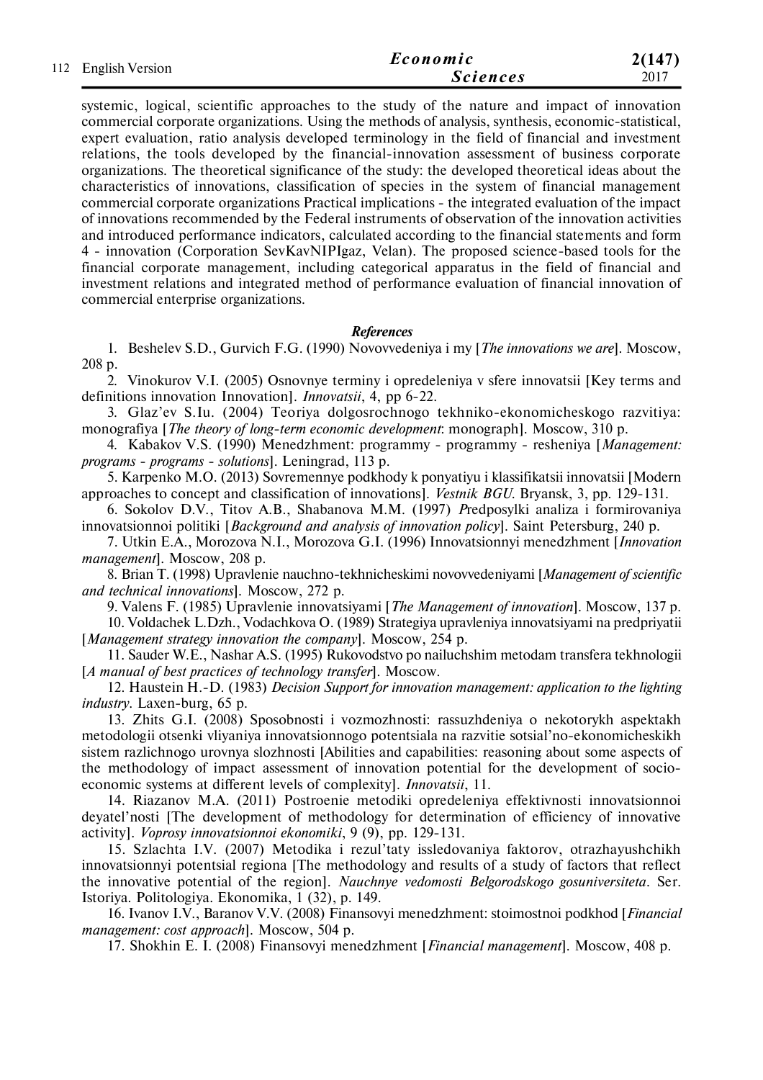|  | 112 English Version | Economic        | 2(147) |
|--|---------------------|-----------------|--------|
|  |                     | <b>Sciences</b> | 2017   |

systemic, logical, scientific approaches to the study of the nature and impact of innovation commercial corporate organizations. Using the methods of analysis, synthesis, economic-statistical, expert evaluation, ratio analysis developed terminology in the field of financial and investment relations, the tools developed by the financial-innovation assessment of business corporate organizations. The theoretical significance of the study: the developed theoretical ideas about the characteristics of innovations, classification of species in the system of financial management commercial corporate organizations Practical implications - the integrated evaluation of the impact of innovations recommended by the Federal instruments of observation of the innovation activities and introduced performance indicators, calculated according to the financial statements and form 4 - innovation (Corporation SevKavNIPIgaz, Velan). The proposed science-based tools for the financial corporate management, including categorical apparatus in the field of financial and investment relations and integrated method of performance evaluation of financial innovation of commercial enterprise organizations.

#### *References*

1. Beshelev S.D., Gurvich F.G. (1990) Novovvedeniya i my [*The innovations we are*]. Moscow, 208 p.

2. Vinokurov V.I. (2005) Osnovnye terminy i opredeleniya v sfere innovatsii [Key terms and definitions innovation Innovation]. *Innovatsii*, 4, pp 6-22.

3. Glaz'ev S.Iu*.* (2004) Teoriya dolgosrochnogo tekhniko-ekonomicheskogo razvitiya: monografiya [*The theory of long-term economic development*: monograph]. Moscow, 310 p.

4. Kabakov V.S. (1990) Menedzhment: programmy - programmy - resheniya [*Management: programs - programs - solutions*]. Leningrad, 113 p.

5. Karpenko M.O. (2013) Sovremennye podkhody k ponyatiyu i klassifikatsii innovatsii [Modern approaches to concept and classification of innovations]. *Vestnik BGU.* Bryansk, 3, pp. 129-131.

6. Sokolov D.V., Titov A.B., Shabanova M.M. (1997) *P*redposylki analiza i formirovaniya innovatsionnoi politiki [*Background and analysis of innovation policy*]. Saint Petersburg, 240 p.

7. Utkin E.A., Morozova N.I., Morozova G.I. (1996) Innovatsionnyi menedzhment [*Innovation management*]. Moscow, 208 p.

8. Brian T. (1998) Upravlenie nauchno-tekhnicheskimi novovvedeniyami [*Management of scientific and technical innovations*]. Moscow, 272 p.

9. Valens F. (1985) Upravlenie innovatsiyami [*The Management of innovation*]. Moscow, 137 p.

10. Voldachek L.Dzh., Vodachkova O. (1989) Strategiya upravleniya innovatsiyami na predpriyatii [*Management strategy innovation the company*]. Moscow, 254 p.

11. Sauder W.E., Nashar A.S. (1995) Rukovodstvo po nailuchshim metodam transfera tekhnologii [*A manual of best practices of technology transfer*]. Moscow.

12. Haustein H.-D. (1983) *Decision Support for innovation management: application to the lighting industry*. Laxen-burg, 65 p.

13. Zhits G.I. (2008) Sposobnosti i vozmozhnosti: rassuzhdeniya o nekotorykh aspektakh metodologii otsenki vliyaniya innovatsionnogo potentsiala na razvitie sotsial'no-ekonomicheskikh sistem razlichnogo urovnya slozhnosti [Abilities and capabilities: reasoning about some aspects of the methodology of impact assessment of innovation potential for the development of socioeconomic systems at different levels of complexity]. *Innovatsii*, 11.

14. Riazanov M.A. (2011) Postroenie metodiki opredeleniya effektivnosti innovatsionnoi deyatel'nosti [The development of methodology for determination of efficiency of innovative activity]. *Voprosy innovatsionnoi ekonomiki*, 9 (9), pp. 129-131.

15. Szlachta I.V. (2007) Metodika i rezul'taty issledovaniya faktorov, otrazhayushchikh innovatsionnyi potentsial regiona [The methodology and results of a study of factors that reflect the innovative potential of the region]. *Nauchnye vedomosti Belgorodskogo gosuniversiteta.* Ser. Istoriya. Politologiya. Ekonomika, 1 (32), p. 149.

16. Ivanov I.V., Baranov V.V. (2008) Finansovyi menedzhment: stoimostnoi podkhod [*Financial management: cost approach*]. Moscow, 504 p.

17. Shokhin E. I. (2008) Finansovyi menedzhment [*Financial management*]. Moscow, 408 p.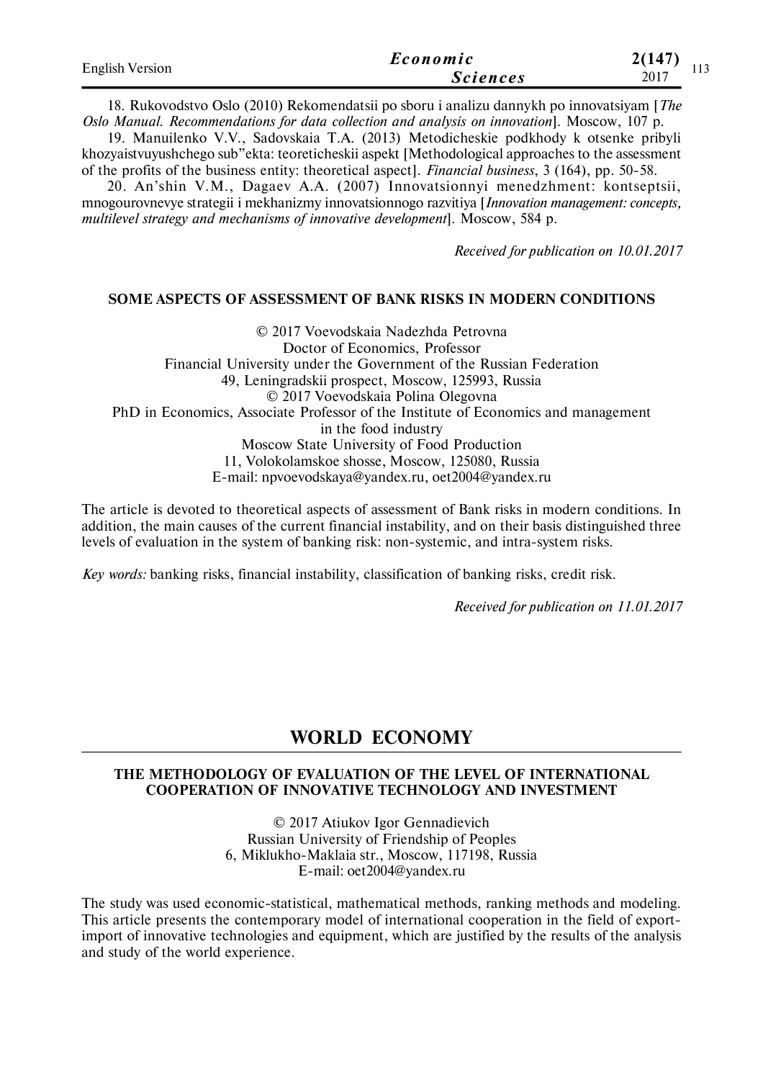| <b>English Version</b> | Economic        | (147)         |
|------------------------|-----------------|---------------|
|                        | <i>Sciences</i> | 1 T C<br>2017 |

18. Rukovodstvo Oslo (2010) Rekomendatsii po sboru i analizu dannykh po innovatsiyam [*The Oslo Manual. Recommendations for data collection and analysis on innovation*]. Moscow, 107 p.

19. Manuilenko V.V., Sadovskaia T.A. (2013) Metodicheskie podkhody k otsenke pribyli khozyaistvuyushchego sub"ekta: teoreticheskii aspekt [Methodological approaches to the assessment of the profits of the business entity: theoretical aspect]. *Financial business*, 3 (164), pp. 50-58.

20. An'shin V.M., Dagaev A.A. (2007) Innovatsionnyi menedzhment: kontseptsii, mnogourovnevye strategii i mekhanizmy innovatsionnogo razvitiya [*Innovation management: concepts, multilevel strategy and mechanisms of innovative development*]. Moscow, 584 p.

*Received for publication on 10.01.2017*

#### **SOME ASPECTS OF ASSESSMENT OF BANK RISKS IN MODERN CONDITIONS**

© 2017 Voevodskaia Nadezhda Petrovna Doctor of Economics, Professor Financial University under the Government of the Russian Federation 49, Leningradskii prospect, Moscow, 125993, Russia © 2017 Voevodskaia Polina Olegovna PhD in Economics, Associate Professor of the Institute of Economics and management in the food industry Moscow State University of Food Production 11, Volokolamskoe shosse, Moscow, 125080, Russia E-mail: npvoevodskaya@yandex.ru, oet2004@yandex.ru

The article is devoted to theoretical aspects of assessment of Bank risks in modern conditions. In addition, the main causes of the current financial instability, and on their basis distinguished three levels of evaluation in the system of banking risk: non-systemic, and intra-system risks.

*Key words:* banking risks, financial instability, classification of banking risks, credit risk.

*Received for publication on 11.01.2017*

## **WORLD ECONOMY**

#### **THE METHODOLOGY OF EVALUATION OF THE LEVEL OF INTERNATIONAL COOPERATION OF INNOVATIVE TECHNOLOGY AND INVESTMENT**

© 2017 Atiukov Igor Gennadievich Russian University of Friendship of Peoples 6, Miklukho-Maklaia str., Moscow, 117198, Russia E-mail: oet2004@yandex.ru

The study was used economic-statistical, mathematical methods, ranking methods and modeling. This article presents the contemporary model of international cooperation in the field of exportimport of innovative technologies and equipment, which are justified by the results of the analysis and study of the world experience.